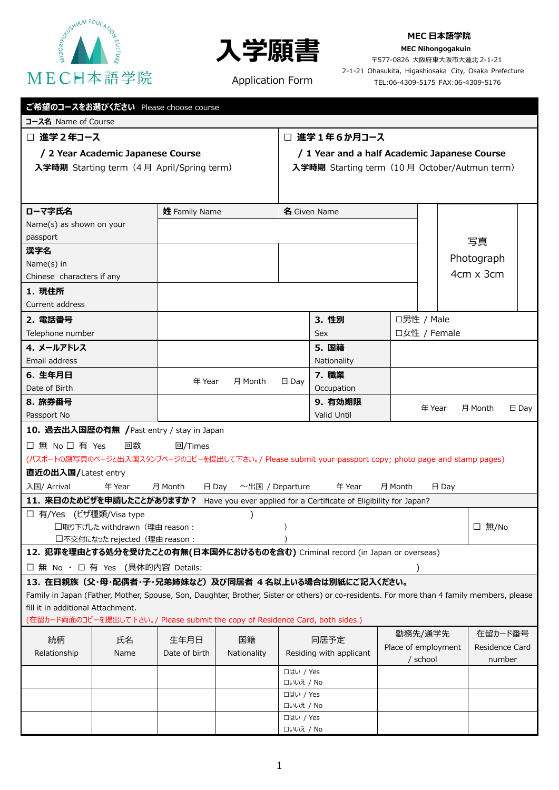



#### **MEC 日本語学院**

**MEC Nihongogakuin** 〒577-0826 大阪府東大阪市大蓮北 2-1-21

Application Form

2-1-21 Ohasukita, Higashiosaka City, Osaka Prefecture TEL:06-4309-5175 FAX:06-4309-5176

| ご希望のコースをお選びください Please choose course |  |
|--------------------------------------|--|
|                                      |  |

#### **コース名** Name of Course

### **☐ 進学2年コース**

### **/ 2 Year Academic Japanese Course**

**入学時期** Starting term(4 月 April/Spring term)

### **☐ 進学1年6か月コース**

# **/ 1 Year and a half Academic Japanese Course 入学時期** Starting term(10 月 October/Autmun term)

| ローマ字氏名                                                                        |                                | 姓 Family Name              |                       |                               | 名 Given Name                                                                                                                               |         |                     |                |  |
|-------------------------------------------------------------------------------|--------------------------------|----------------------------|-----------------------|-------------------------------|--------------------------------------------------------------------------------------------------------------------------------------------|---------|---------------------|----------------|--|
| Name(s) as shown on your                                                      |                                |                            |                       |                               |                                                                                                                                            |         |                     |                |  |
| passport                                                                      |                                |                            |                       |                               |                                                                                                                                            |         |                     | 写真             |  |
| 漢字名                                                                           |                                |                            |                       |                               |                                                                                                                                            |         |                     | Photograph     |  |
| Name(s) in                                                                    |                                |                            |                       |                               |                                                                                                                                            |         |                     |                |  |
| Chinese characters if any                                                     |                                |                            |                       |                               |                                                                                                                                            |         |                     | 4cm x 3cm      |  |
| 1. 現住所                                                                        |                                |                            |                       |                               |                                                                                                                                            |         |                     |                |  |
| Current address                                                               |                                |                            |                       |                               |                                                                                                                                            |         |                     |                |  |
| 2. 電話番号                                                                       |                                |                            |                       |                               | 3. 性別                                                                                                                                      |         | □男性 / Male          |                |  |
| Telephone number                                                              |                                |                            |                       |                               | Sex                                                                                                                                        |         | □女性 / Female        |                |  |
| 4. メールアドレス                                                                    |                                |                            |                       |                               | 5. 国籍                                                                                                                                      |         |                     |                |  |
| Email address                                                                 |                                |                            |                       |                               | Nationality                                                                                                                                |         |                     |                |  |
| 6. 生年月日                                                                       |                                | 年 Year<br>月 Month          |                       |                               | 7. 職業                                                                                                                                      |         |                     |                |  |
| Date of Birth                                                                 |                                |                            |                       | $\boxminus$ Day<br>Occupation |                                                                                                                                            |         |                     |                |  |
| 8. 旅券番号                                                                       |                                | 9. 有効期限<br>年 Year          |                       |                               | 月 Month<br>$\boxminus$ Day                                                                                                                 |         |                     |                |  |
| Passport No                                                                   |                                |                            |                       |                               | Valid Until                                                                                                                                |         |                     |                |  |
| 10. 過去出入国歴の有無 / Past entry / stay in Japan                                    |                                |                            |                       |                               |                                                                                                                                            |         |                     |                |  |
| □無 No □ 有 Yes                                                                 | 回数                             | 回/Times                    |                       |                               |                                                                                                                                            |         |                     |                |  |
|                                                                               |                                |                            |                       |                               | (パスポートの顔写真のページと出入国スタンプページのコピーを提出して下さい。/ Please submit your passport copy; photo page and stamp pages)                                      |         |                     |                |  |
| 直近の出入国/Latest entry                                                           |                                |                            |                       |                               |                                                                                                                                            |         |                     |                |  |
| 入国/ Arrival                                                                   | 年 Year                         | 月 Month<br>$\boxminus$ Day | $\sim$ 出国 / Departure |                               | 年 Year                                                                                                                                     | 月 Month | $\boxminus$ Day     |                |  |
|                                                                               |                                |                            |                       |                               | 11. 来日のためビザを申請したことがありますか? Have you ever applied for a Certificate of Eligibility for Japan?                                                |         |                     |                |  |
| □ 有/Yes (ビザ種類/Visa type                                                       |                                |                            |                       |                               |                                                                                                                                            |         |                     |                |  |
| □取り下げした withdrawn (理由 reason:                                                 |                                |                            |                       |                               |                                                                                                                                            |         | □ 無/No              |                |  |
|                                                                               | □不交付になった rejected (理由 reason : |                            |                       |                               |                                                                                                                                            |         |                     |                |  |
|                                                                               |                                |                            |                       |                               | 12. 犯罪を理由とする処分を受けたことの有無(日本国外におけるものを含む) Criminal record (in Japan or overseas)                                                              |         |                     |                |  |
| □ 無 No · □ 有 Yes (具体的内容 Details:                                              |                                |                            |                       |                               |                                                                                                                                            |         |                     |                |  |
| 13. 在日親族 (父・母・配偶者・子・兄弟姉妹など) 及び同居者 4名以上いる場合は別紙にご記入ください。                        |                                |                            |                       |                               |                                                                                                                                            |         |                     |                |  |
|                                                                               |                                |                            |                       |                               | Family in Japan (Father, Mother, Spouse, Son, Daughter, Brother, Sister or others) or co-residents. For more than 4 family members, please |         |                     |                |  |
| fill it in additional Attachment.                                             |                                |                            |                       |                               |                                                                                                                                            |         |                     |                |  |
| (在留カード両面のコピーを提出して下さい。/ Please submit the copy of Residence Card, both sides.) |                                |                            |                       |                               |                                                                                                                                            |         |                     |                |  |
| 続柄                                                                            | 氏名                             | 生年月日                       | 国籍                    |                               | 同居予定                                                                                                                                       |         | 勤務先/通学先             | 在留カード番号        |  |
| Relationship                                                                  | Name                           | Date of birth              | Nationality           |                               | Residing with applicant                                                                                                                    |         | Place of employment | Residence Card |  |
|                                                                               |                                |                            |                       |                               |                                                                                                                                            |         | / school            | number         |  |
|                                                                               |                                |                            |                       | □はい / Yes                     |                                                                                                                                            |         |                     |                |  |
|                                                                               |                                |                            |                       | □いいえ / No<br>□はい / Yes        |                                                                                                                                            |         |                     |                |  |
|                                                                               |                                |                            |                       | □いいえ / No                     |                                                                                                                                            |         |                     |                |  |
|                                                                               |                                |                            |                       | □はい / Yes                     |                                                                                                                                            |         |                     |                |  |
|                                                                               |                                |                            |                       | □いいえ / No                     |                                                                                                                                            |         |                     |                |  |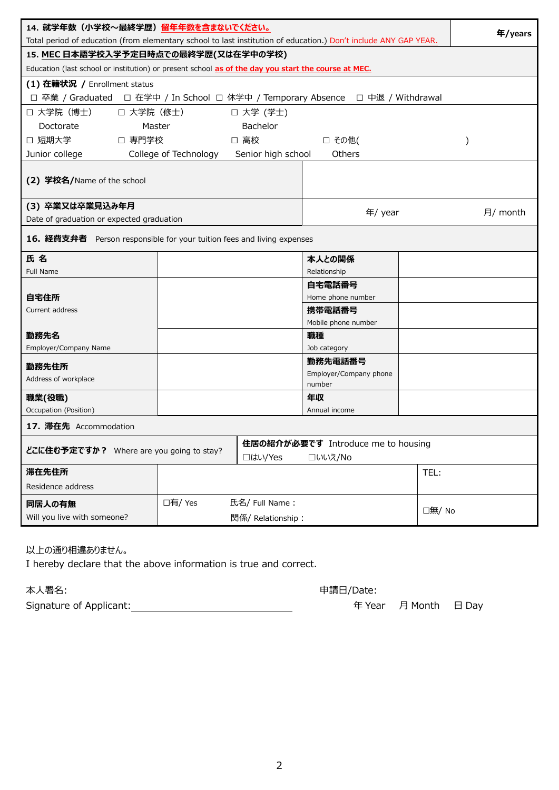| 14. 就学年数(小学校~最終学歴)留年年数を含まないでください。<br>Total period of education (from elementary school to last institution of education.) Don't include ANY GAP YEAR. |                                      |                    |                               | 年/years |          |  |
|-------------------------------------------------------------------------------------------------------------------------------------------------------|--------------------------------------|--------------------|-------------------------------|---------|----------|--|
|                                                                                                                                                       | 15. MEC 日本語学校入学予定日時点での最終学歴(又は在学中の学校) |                    |                               |         |          |  |
| Education (last school or institution) or present school as of the day you start the course at MEC.                                                   |                                      |                    |                               |         |          |  |
| (1) 在籍状況 / Enrollment status                                                                                                                          |                                      |                    |                               |         |          |  |
| □ 卒業 / Graduated □ 在学中 / In School □ 休学中 / Temporary Absence □ 中退 / Withdrawal                                                                        |                                      |                    |                               |         |          |  |
| □ 大学院 (博士)<br>□ 大学院 (修士)                                                                                                                              |                                      | 口 大学 (学士)          |                               |         |          |  |
| Doctorate<br>Master                                                                                                                                   |                                      | <b>Bachelor</b>    |                               |         |          |  |
| □ 短期大学<br>□ 専門学校                                                                                                                                      |                                      | □ 高校               | □ その他(                        |         |          |  |
| Junior college                                                                                                                                        | College of Technology                | Senior high school | Others                        |         |          |  |
| (2) 学校名/Name of the school                                                                                                                            |                                      |                    |                               |         |          |  |
| (3) 卒業又は卒業見込み年月                                                                                                                                       |                                      |                    | 年/ year                       |         | 月/ month |  |
| Date of graduation or expected graduation                                                                                                             |                                      |                    |                               |         |          |  |
| 16. 経費支弁者 Person responsible for your tuition fees and living expenses                                                                                |                                      |                    |                               |         |          |  |
| 氏 名                                                                                                                                                   |                                      |                    | 本人との関係                        |         |          |  |
| Full Name                                                                                                                                             |                                      |                    | Relationship                  |         |          |  |
|                                                                                                                                                       |                                      |                    | 自宅電話番号                        |         |          |  |
| 自宅住所<br>Current address                                                                                                                               |                                      |                    | Home phone number             |         |          |  |
|                                                                                                                                                       |                                      |                    | 携帯電話番号<br>Mobile phone number |         |          |  |
| 勤務先名                                                                                                                                                  |                                      |                    | 職種                            |         |          |  |
| Employer/Company Name                                                                                                                                 |                                      |                    | Job category                  |         |          |  |
|                                                                                                                                                       |                                      |                    | 勤務先電話番号                       |         |          |  |
| 勤務先住所<br>Address of workplace                                                                                                                         |                                      |                    | Employer/Company phone        |         |          |  |
|                                                                                                                                                       |                                      |                    | number                        |         |          |  |
| 職業(役職)                                                                                                                                                |                                      |                    | 年収                            |         |          |  |
| Occupation (Position)                                                                                                                                 |                                      |                    | Annual income                 |         |          |  |
| 17. 滞在先 Accommodation                                                                                                                                 |                                      |                    |                               |         |          |  |
|                                                                                                                                                       | 住居の紹介が必要です Introduce me to housing   |                    |                               |         |          |  |
| どこに住む予定ですか? Where are you going to stay?<br>□はい/Yes                                                                                                   |                                      |                    | □いいえ/No                       |         |          |  |
| 滞在先住所                                                                                                                                                 |                                      |                    |                               | TEL:    |          |  |
| Residence address                                                                                                                                     |                                      |                    |                               |         |          |  |
| 同居人の有無                                                                                                                                                | □有/ Yes<br>氏名/ Full Name:            |                    |                               |         |          |  |
| □無/ No<br>Will you live with someone?<br>関係/ Relationship:                                                                                            |                                      |                    |                               |         |          |  |
|                                                                                                                                                       |                                      |                    |                               |         |          |  |

以上の通り相違ありません。

I hereby declare that the above information is true and correct.

| 本人署名:                   | 申請日/Date: |                      |  |  |
|-------------------------|-----------|----------------------|--|--|
| Signature of Applicant: |           | 年 Year 月 Month 日 Day |  |  |